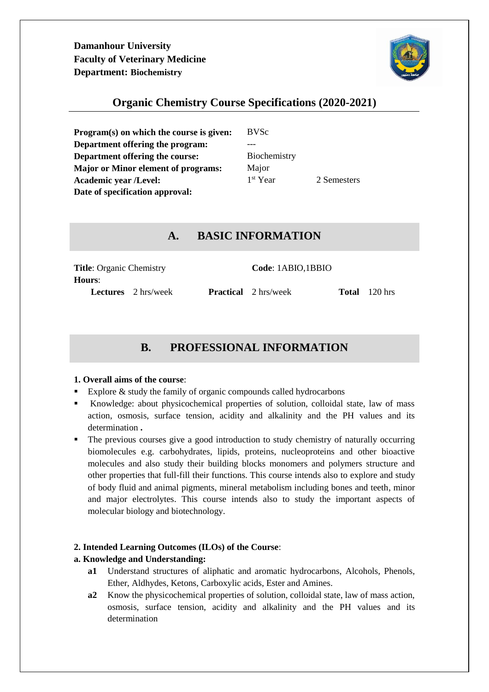**Damanhour University Faculty of Veterinary Medicine Department: Biochemistry**



# **Organic Chemistry Course Specifications (2020-2021)**

**Program(s) on which the course is given:** BVSc **Department offering the program:** --- **Department offering the course:** Biochemistry **Major or Minor element of programs:** Major **Academic year /Level:** 1<sup>st</sup> Year **Date of specification approval:**

2 Semesters

# **A. BASIC INFORMATION**

| <b>Title:</b> Organic Chemistry |                            | Code: 1ABIO,1BBIO           |                      |
|---------------------------------|----------------------------|-----------------------------|----------------------|
| <b>Hours:</b>                   | <b>Lectures</b> 2 hrs/week | <b>Practical</b> 2 hrs/week | <b>Total</b> 120 hrs |

# **B. PROFESSIONAL INFORMATION**

#### **1. Overall aims of the course**:

- Explore  $&$  study the family of organic compounds called hydrocarbons
- Knowledge: about physicochemical properties of solution, colloidal state, law of mass action, osmosis, surface tension, acidity and alkalinity and the PH values and its determination **.**
- The previous courses give a good introduction to study chemistry of naturally occurring biomolecules e.g. carbohydrates, lipids, proteins, nucleoproteins and other bioactive molecules and also study their building blocks monomers and polymers structure and other properties that full-fill their functions. This course intends also to explore and study of body fluid and animal pigments, mineral metabolism including bones and teeth, minor and major electrolytes. This course intends also to study the important aspects of molecular biology and biotechnology.

# **2. Intended Learning Outcomes (ILOs) of the Course**:

# **a. Knowledge and Understanding:**

- **a1** Understand structures of aliphatic and aromatic hydrocarbons, Alcohols, Phenols, Ether, Aldhydes, Ketons, Carboxylic acids, Ester and Amines.
- **a2** Know the physicochemical properties of solution, colloidal state, law of mass action, osmosis, surface tension, acidity and alkalinity and the PH values and its determination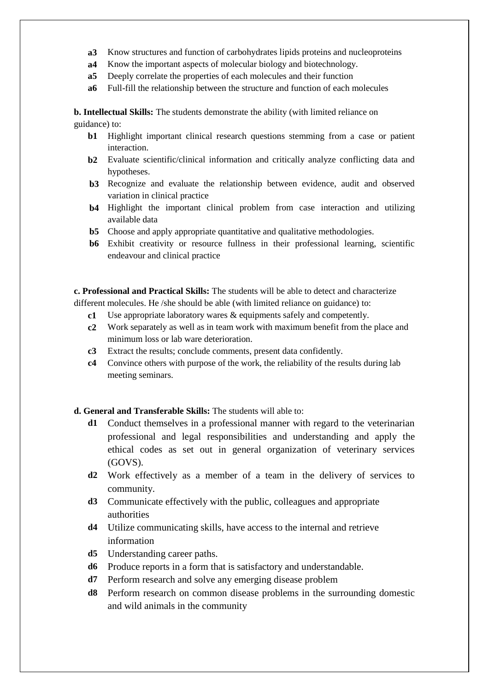- **a3** Know structures and function of carbohydrates lipids proteins and nucleoproteins
- **a4** Know the important aspects of molecular biology and biotechnology.
- **a5** Deeply correlate the properties of each molecules and their function
- **a6** Full-fill the relationship between the structure and function of each molecules

**b. Intellectual Skills:** The students demonstrate the ability (with limited reliance on guidance) to:

- **b1** Highlight important clinical research questions stemming from a case or patient interaction.
- **b2** Evaluate scientific/clinical information and critically analyze conflicting data and hypotheses.
- **b3** Recognize and evaluate the relationship between evidence, audit and observed variation in clinical practice
- **b4** Highlight the important clinical problem from case interaction and utilizing available data
- **b5** Choose and apply appropriate quantitative and qualitative methodologies.
- **b6** Exhibit creativity or resource fullness in their professional learning, scientific endeavour and clinical practice

**c. Professional and Practical Skills:** The students will be able to detect and characterize different molecules. He /she should be able (with limited reliance on guidance) to:

- **c1** Use appropriate laboratory wares & equipments safely and competently.
- **c2** Work separately as well as in team work with maximum benefit from the place and minimum loss or lab ware deterioration.
- **c3** Extract the results; conclude comments, present data confidently.
- **c4** Convince others with purpose of the work, the reliability of the results during lab meeting seminars.

**d. General and Transferable Skills:** The students will able to:

- **d1** Conduct themselves in a professional manner with regard to the veterinarian professional and legal responsibilities and understanding and apply the ethical codes as set out in general organization of veterinary services (GOVS).
- **d2** Work effectively as a member of a team in the delivery of services to community.
- **d3** Communicate effectively with the public, colleagues and appropriate authorities
- **d4** Utilize communicating skills, have access to the internal and retrieve information
- **d5** Understanding career paths.
- **d6** Produce reports in a form that is satisfactory and understandable.
- **d7** Perform research and solve any emerging disease problem
- **d8** Perform research on common disease problems in the surrounding domestic and wild animals in the community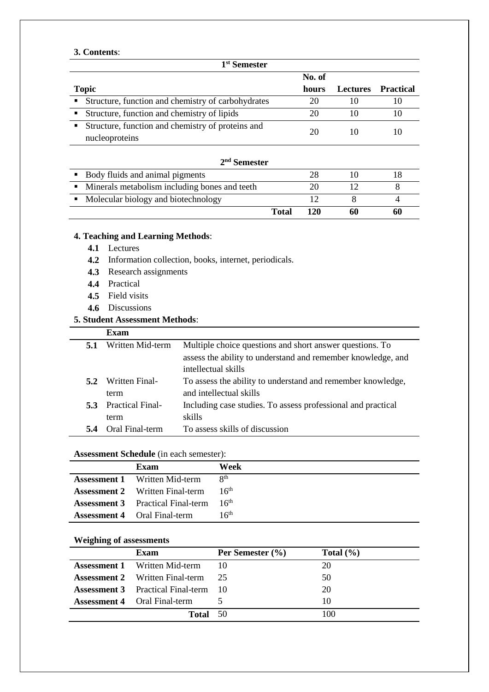#### **3. Contents**:

| 1 <sup>st</sup> Semester |                                                                     |                                              |    |                |
|--------------------------|---------------------------------------------------------------------|----------------------------------------------|----|----------------|
|                          |                                                                     | No. of                                       |    |                |
|                          | <b>Topic</b>                                                        | <b>Practical</b><br>hours<br><b>Lectures</b> |    |                |
| ٠                        | Structure, function and chemistry of carbohydrates                  | 20                                           | 10 | 10             |
| ٠                        | Structure, function and chemistry of lipids                         | 20                                           | 10 | 10             |
| ٠                        | Structure, function and chemistry of proteins and<br>nucleoproteins | 20                                           | 10 | 10             |
| 2 <sup>nd</sup> Semester |                                                                     |                                              |    |                |
| ٠                        | Body fluids and animal pigments                                     | 28                                           | 10 | 18             |
| ٠                        | Minerals metabolism including bones and teeth                       | 20                                           | 12 | 8              |
| ٠                        | Molecular biology and biotechnology                                 | 12                                           | 8  | $\overline{4}$ |
|                          | <b>Total</b>                                                        | 120                                          | 60 | 60             |

#### **4. Teaching and Learning Methods**:

- **4.1** Lectures
- **4.2** Information collection, books, internet, periodicals.
- **4.3** Research assignments
- **4.4** Practical
- **4.5** Field visits
- **4.6** Discussions

# **5. Student Assessment Methods**:

|     | Exam                        |                                                              |
|-----|-----------------------------|--------------------------------------------------------------|
| 5.1 | Written Mid-term            | Multiple choice questions and short answer questions. To     |
|     |                             | assess the ability to understand and remember knowledge, and |
|     |                             | intellectual skills                                          |
| 5.2 | Written Final-              | To assess the ability to understand and remember knowledge,  |
|     | term                        | and intellectual skills                                      |
|     | <b>5.3</b> Practical Final- | Including case studies. To assess professional and practical |
|     | term                        | skills                                                       |
|     | <b>Oral Final-term</b>      | To assess skills of discussion                               |

#### **Assessment Schedule** (in each semester):

| Exam                                                      | Week                     |
|-----------------------------------------------------------|--------------------------|
| <b>Assessment 1</b> Written Mid-term                      | $\mathsf{R}^{\text{th}}$ |
| <b>Assessment 2</b> Written Final-term                    | 16 <sup>th</sup>         |
| <b>Assessment 3</b> Practical Final-term 16 <sup>th</sup> |                          |
| <b>Assessment 4</b> Oral Final-term                       | 16 <sup>th</sup>         |

#### **Weighing of assessments**

| Exam                                        | Per Semester $(\% )$ | Total $(\% )$ |
|---------------------------------------------|----------------------|---------------|
| <b>Assessment 1</b> Written Mid-term        | 10                   | 20            |
| <b>Assessment 2</b> Written Final-term      | - 25                 | 50            |
| <b>Assessment 3</b> Practical Final-term 10 |                      | 20            |
| <b>Assessment 4</b> Oral Final-term         |                      | 10            |
| Total 50                                    |                      | 100           |